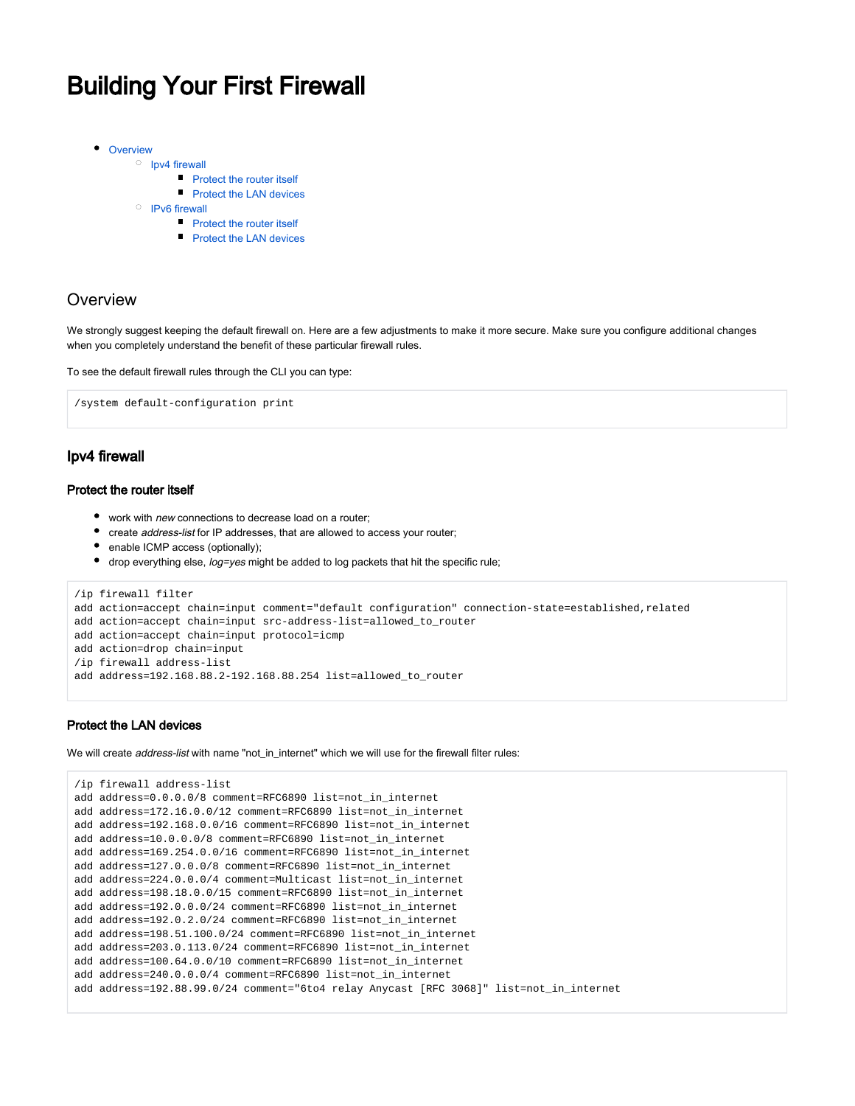# <span id="page-0-0"></span>Building Your First Firewall

- [Overview](#page-0-0)
	- $O$  [Ipv4 firewall](#page-0-1)
		- **[Protect the router itself](#page-0-2)**
		- **[Protect the LAN devices](#page-0-3)**
	- <sup>O</sup> [IPv6 firewall](#page-1-0)
		- **[Protect the router itself](#page-1-1)**
		- **[Protect the LAN devices](#page-2-0)**

# **Overview**

We strongly suggest keeping the default firewall on. Here are a few adjustments to make it more secure. Make sure you configure additional changes when you completely understand the benefit of these particular firewall rules.

To see the default firewall rules through the CLI you can type:

```
/system default-configuration print
```
## <span id="page-0-1"></span>Ipv4 firewall

### <span id="page-0-2"></span>Protect the router itself

- work with new connections to decrease load on a router;
- create address-list for IP addresses, that are allowed to access your router;
- enable ICMP access (optionally);
- drop everything else, log=yes might be added to log packets that hit the specific rule;

```
/ip firewall filter
add action=accept chain=input comment="default configuration" connection-state=established,related
add action=accept chain=input src-address-list=allowed_to_router
add action=accept chain=input protocol=icmp
add action=drop chain=input
/ip firewall address-list
add address=192.168.88.2-192.168.88.254 list=allowed_to_router
```
### <span id="page-0-3"></span>Protect the LAN devices

We will create *address-list* with name "not in internet" which we will use for the firewall filter rules:

```
/ip firewall address-list
add address=0.0.0.0/8 comment=RFC6890 list=not_in_internet
add address=172.16.0.0/12 comment=RFC6890 list=not_in_internet
add address=192.168.0.0/16 comment=RFC6890 list=not_in_internet
add address=10.0.0.0/8 comment=RFC6890 list=not_in_internet
add address=169.254.0.0/16 comment=RFC6890 list=not_in_internet
add address=127.0.0.0/8 comment=RFC6890 list=not_in_internet
add address=224.0.0.0/4 comment=Multicast list=not_in_internet
add address=198.18.0.0/15 comment=RFC6890 list=not_in_internet
add address=192.0.0.0/24 comment=RFC6890 list=not_in_internet
add address=192.0.2.0/24 comment=RFC6890 list=not_in_internet
add address=198.51.100.0/24 comment=RFC6890 list=not_in_internet
add address=203.0.113.0/24 comment=RFC6890 list=not_in_internet
add address=100.64.0.0/10 comment=RFC6890 list=not_in_internet
add address=240.0.0.0/4 comment=RFC6890 list=not_in_internet
add address=192.88.99.0/24 comment="6to4 relay Anycast [RFC 3068]" list=not_in_internet
```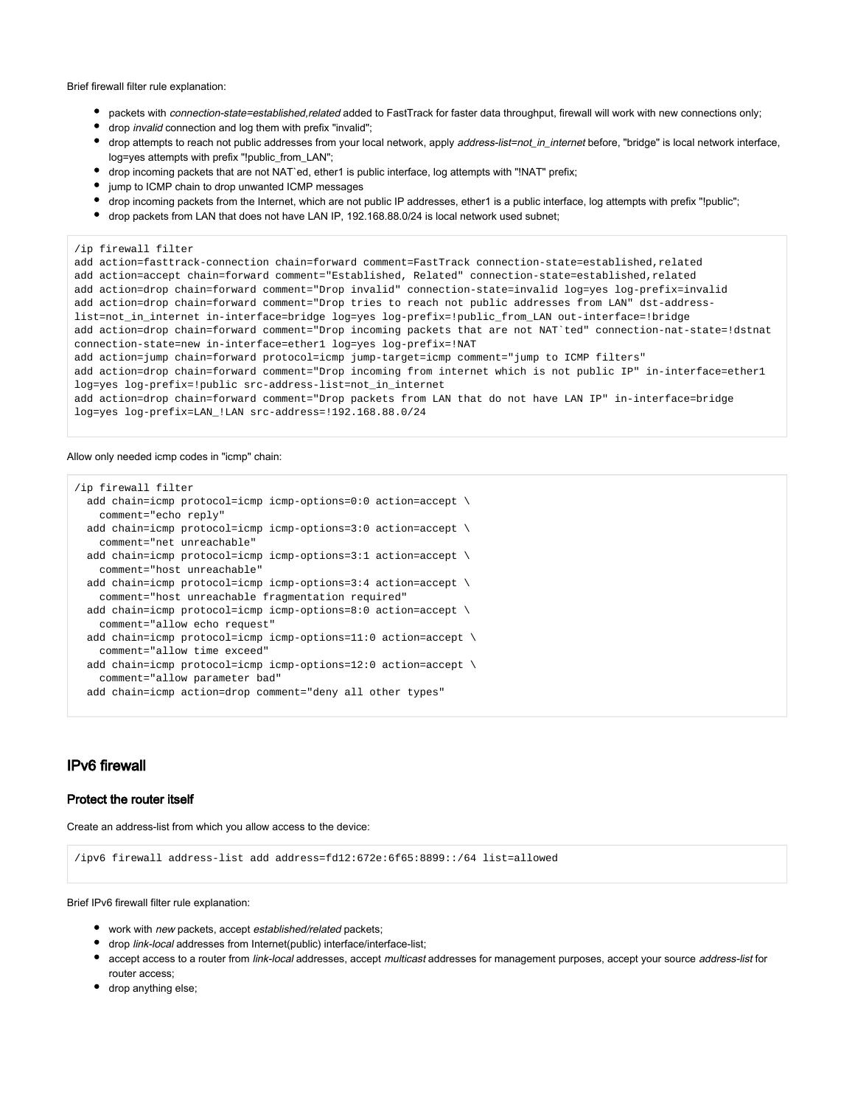Brief firewall filter rule explanation:

- packets with *connection-state=established,related* added to FastTrack for faster data throughput, firewall will work with new connections only;
- drop invalid connection and log them with prefix "invalid";
- drop attempts to reach not public addresses from your local network, apply address-list=not\_in\_internet before, "bridge" is local network interface, log=yes attempts with prefix "!public\_from\_LAN";
- drop incoming packets that are not NAT`ed, ether1 is public interface, log attempts with "!NAT" prefix;
- jump to ICMP chain to drop unwanted ICMP messages
- drop incoming packets from the Internet, which are not public IP addresses, ether1 is a public interface, log attempts with prefix "!public";
- drop packets from LAN that does not have LAN IP, 192.168.88.0/24 is local network used subnet;

```
/ip firewall filter
```
add action=fasttrack-connection chain=forward comment=FastTrack connection-state=established,related add action=accept chain=forward comment="Established, Related" connection-state=established,related add action=drop chain=forward comment="Drop invalid" connection-state=invalid log=yes log-prefix=invalid add action=drop chain=forward comment="Drop tries to reach not public addresses from LAN" dst-addresslist=not\_in\_internet in-interface=bridge log=yes log-prefix=!public\_from\_LAN out-interface=!bridge add action=drop chain=forward comment="Drop incoming packets that are not NAT`ted" connection-nat-state=!dstnat connection-state=new in-interface=ether1 log=yes log-prefix=!NAT add action=jump chain=forward protocol=icmp jump-target=icmp comment="jump to ICMP filters" add action=drop chain=forward comment="Drop incoming from internet which is not public IP" in-interface=ether1 log=yes log-prefix=!public src-address-list=not\_in\_internet add action=drop chain=forward comment="Drop packets from LAN that do not have LAN IP" in-interface=bridge log=yes log-prefix=LAN\_!LAN src-address=!192.168.88.0/24

#### Allow only needed icmp codes in "icmp" chain:

| ip firewall filter                                                         |
|----------------------------------------------------------------------------|
| add chain=icmp protocol=icmp icmp-options= $0:0$ action=accept $\setminus$ |
| comment="echo reply"                                                       |
| add chain=icmp protocol=icmp icmp-options=3:0 action=accept $\setminus$    |
| comment="net unreachable"                                                  |
| add chain=icmp protocol=icmp icmp-options=3:1 action=accept $\setminus$    |
| comment="host unreachable"                                                 |
| add chain=icmp protocol=icmp icmp-options=3:4 action=accept $\setminus$    |
| comment="host unreachable fragmentation required"                          |
| add chain=icmp protocol=icmp icmp-options=8:0 action=accept $\setminus$    |
| comment="allow echo request"                                               |
| add chain=icmp protocol=icmp icmp-options=11:0 action=accept $\setminus$   |
| comment="allow time exceed"                                                |
| add chain=icmp protocol=icmp icmp-options=12:0 action=accept $\setminus$   |
| comment="allow parameter bad"                                              |
| add chain=icmp action=drop comment="deny all other types"                  |

# <span id="page-1-0"></span>IPv6 firewall

### <span id="page-1-1"></span>Protect the router itself

Create an address-list from which you allow access to the device:

/ipv6 firewall address-list add address=fd12:672e:6f65:8899::/64 list=allowed

Brief IPv6 firewall filter rule explanation:

- work with new packets, accept established/related packets;
- drop link-local addresses from Internet(public) interface/interface-list;
- accept access to a router from link-local addresses, accept multicast addresses for management purposes, accept your source address-list for router access;
- drop anything else;